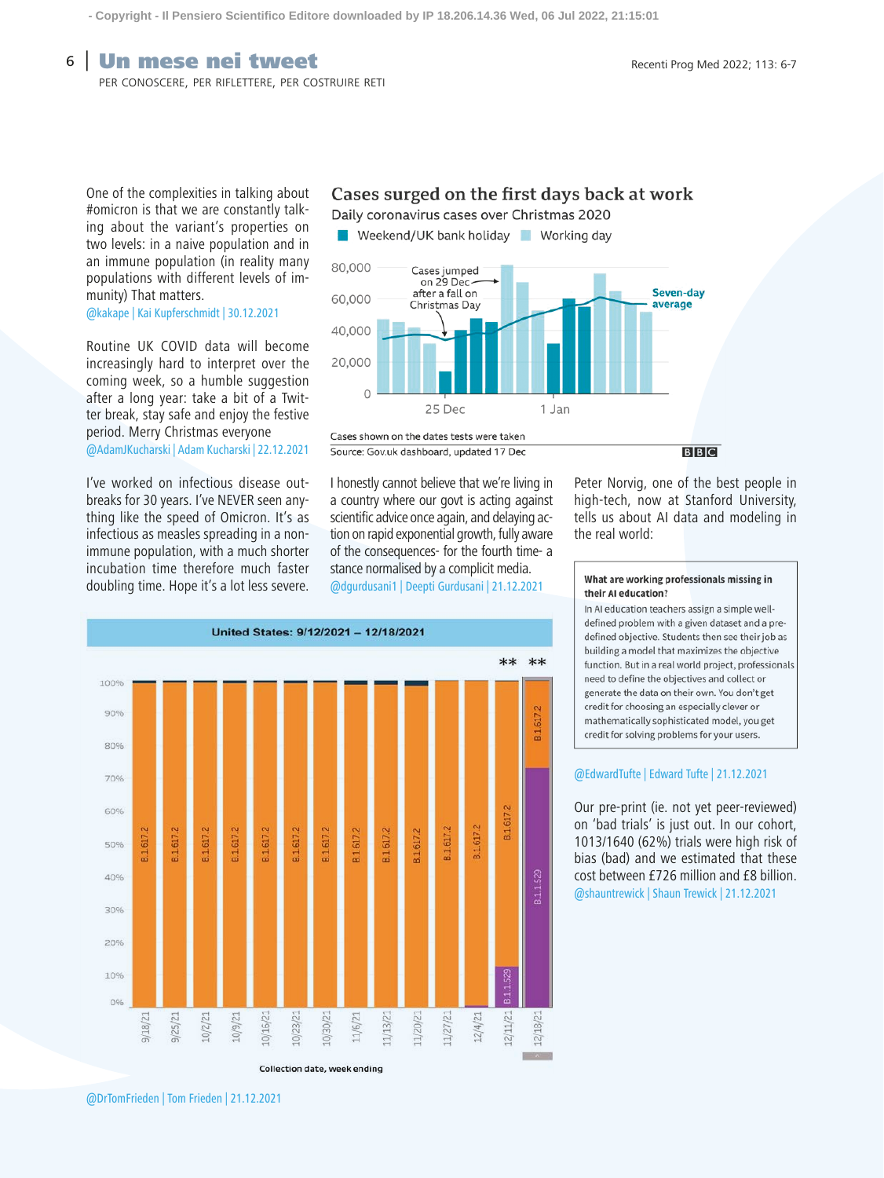### **6** Un mese nei tweet  $\overline{\text{Ricenti Proof}}$  Recenti Prog Med 2022; 113: 6-7

per conoscere, per riflettere, per costruire reti

One of the complexities in talking about #omicron is that we are constantly talking about the variant's properties on two levels: in a naive population and in an immune population (in reality many populations with different levels of immunity) That matters.

### @kakape | Kai Kupferschmidt | 30.12.2021

Routine UK COVID data will become increasingly hard to interpret over the coming week, so a humble suggestion after a long year: take a bit of a Twitter break, stay safe and enjoy the festive period. Merry Christmas everyone @AdamJKucharski | Adam Kucharski | 22.12.2021

I've worked on infectious disease outbreaks for 30 years. I've NEVER seen anything like the speed of Omicron. It's as infectious as measles spreading in a nonimmune population, with a much shorter incubation time therefore much faster doubling time. Hope it's a lot less severe.

### Cases surged on the first days back at work

Daily coronavirus cases over Christmas 2020

Weekend/UK bank holiday Working day



Source: Gov.uk dashboard, updated 17 Dec

 $B|B|C$ 

Peter Norvig, one of the best people in high-tech, now at Stanford University, tells us about AI data and modeling in

I honestly cannot believe that we're living in a country where our govt is acting against scientific advice once again, and delaying action on rapid exponential growth, fully aware of the consequences- for the fourth time- a stance normalised by a complicit media. @dgurdusani1 | Deepti Gurdusani | 21.12.2021

## What are working professionals missing in

the real world:

their AI education?

In AI education teachers assign a simple welldefined problem with a given dataset and a predefined objective. Students then see their job as building a model that maximizes the objective function. But in a real world project, professionals need to define the objectives and collect or generate the data on their own. You don't get credit for choosing an especially clever or mathematically sophisticated model, you get credit for solving problems for your users.

#### @EdwardTufte | Edward Tufte | 21.12.2021

Our pre-print (ie. not yet peer-reviewed) on 'bad trials' is just out. In our cohort, 1013/1640 (62%) trials were high risk of bias (bad) and we estimated that these cost between £726 million and £8 billion. @shauntrewick | Shaun Trewick | 21.12.2021



@DrTomFrieden | Tom Frieden | 21.12.2021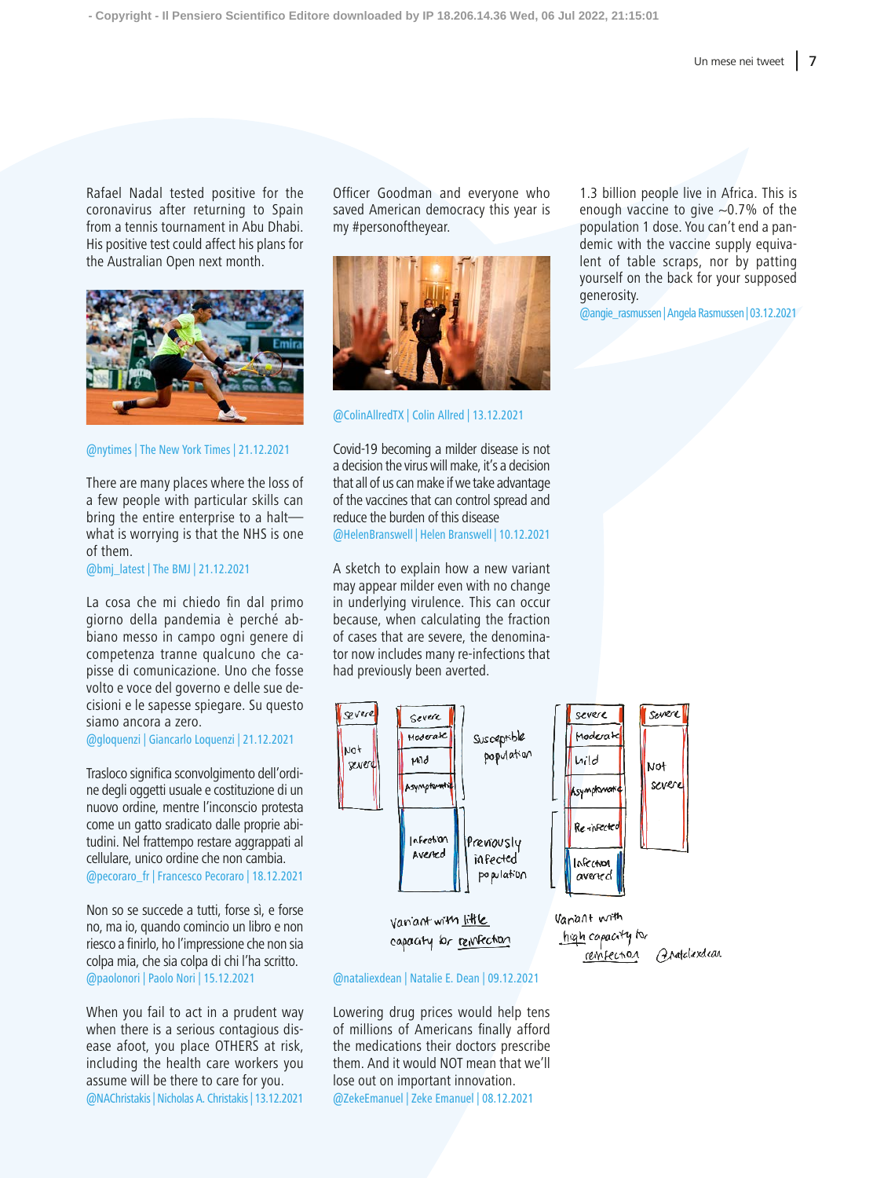Rafael Nadal tested positive for the coronavirus after returning to Spain from a tennis tournament in Abu Dhabi. His positive test could affect his plans for the Australian Open next month.



@nytimes | The New York Times | 21.12.2021

There are many places where the loss of a few people with particular skills can bring the entire enterprise to a halt what is worrying is that the NHS is one of them.

@bmj\_latest | The BMJ | 21.12.2021

La cosa che mi chiedo fin dal primo giorno della pandemia è perché abbiano messo in campo ogni genere di competenza tranne qualcuno che capisse di comunicazione. Uno che fosse volto e voce del governo e delle sue decisioni e le sapesse spiegare. Su questo siamo ancora a zero.

@gloquenzi | Giancarlo Loquenzi | 21.12.2021

Trasloco significa sconvolgimento dell'ordine degli oggetti usuale e costituzione di un nuovo ordine, mentre l'inconscio protesta come un gatto sradicato dalle proprie abitudini. Nel frattempo restare aggrappati al cellulare, unico ordine che non cambia. @pecoraro\_fr | Francesco Pecoraro | 18.12.2021

Non so se succede a tutti, forse sì, e forse no, ma io, quando comincio un libro e non riesco a finirlo, ho l'impressione che non sia colpa mia, che sia colpa di chi l'ha scritto. @paolonori | Paolo Nori | 15.12.2021

When you fail to act in a prudent way when there is a serious contagious disease afoot, you place OTHERS at risk, including the health care workers you assume will be there to care for you. @NAChristakis | Nicholas A. Christakis | 13.12.2021

Officer Goodman and everyone who saved American democracy this year is my #personoftheyear.



@ColinAllredTX | Colin Allred | 13.12.2021

Covid-19 becoming a milder disease is not a decision the virus will make, it's a decision that all of us can make if we take advantage of the vaccines that can control spread and reduce the burden of this disease @HelenBranswell | Helen Branswell | 10.12.2021

A sketch to explain how a new variant may appear milder even with no change in underlying virulence. This can occur because, when calculating the fraction of cases that are severe, the denominator now includes many re-infections that had previously been averted.



@nataliexdean | Natalie E. Dean | 09.12.2021

Lowering drug prices would help tens of millions of Americans finally afford the medications their doctors prescribe them. And it would NOT mean that we'll lose out on important innovation. @ZekeEmanuel | Zeke Emanuel | 08.12.2021

1.3 billion people live in Africa. This is enough vaccine to give  $\sim$ 0.7% of the population 1 dose. You can't end a pandemic with the vaccine supply equivalent of table scraps, nor by patting yourself on the back for your supposed generosity.

@angie\_rasmussen | Angela Rasmussen | 03.12.2021